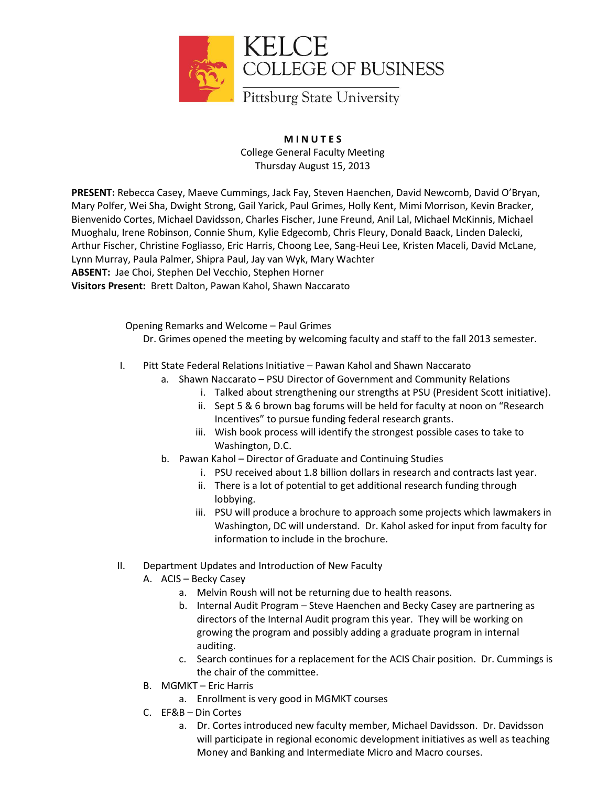

## **M I N U T E S** College General Faculty Meeting Thursday August 15, 2013

**PRESENT:** Rebecca Casey, Maeve Cummings, Jack Fay, Steven Haenchen, David Newcomb, David O'Bryan, Mary Polfer, Wei Sha, Dwight Strong, Gail Yarick, Paul Grimes, Holly Kent, Mimi Morrison, Kevin Bracker, Bienvenido Cortes, Michael Davidsson, Charles Fischer, June Freund, Anil Lal, Michael McKinnis, Michael Muoghalu, Irene Robinson, Connie Shum, Kylie Edgecomb, Chris Fleury, Donald Baack, Linden Dalecki, Arthur Fischer, Christine Fogliasso, Eric Harris, Choong Lee, Sang-Heui Lee, Kristen Maceli, David McLane, Lynn Murray, Paula Palmer, Shipra Paul, Jay van Wyk, Mary Wachter **ABSENT:** Jae Choi, Stephen Del Vecchio, Stephen Horner **Visitors Present:** Brett Dalton, Pawan Kahol, Shawn Naccarato

Opening Remarks and Welcome – Paul Grimes

Dr. Grimes opened the meeting by welcoming faculty and staff to the fall 2013 semester.

- I. Pitt State Federal Relations Initiative Pawan Kahol and Shawn Naccarato
	- a. Shawn Naccarato PSU Director of Government and Community Relations
		- i. Talked about strengthening our strengths at PSU (President Scott initiative).
		- ii. Sept 5 & 6 brown bag forums will be held for faculty at noon on "Research Incentives" to pursue funding federal research grants.
		- iii. Wish book process will identify the strongest possible cases to take to Washington, D.C.
	- b. Pawan Kahol Director of Graduate and Continuing Studies
		- i. PSU received about 1.8 billion dollars in research and contracts last year.
		- ii. There is a lot of potential to get additional research funding through lobbying.
		- iii. PSU will produce a brochure to approach some projects which lawmakers in Washington, DC will understand. Dr. Kahol asked for input from faculty for information to include in the brochure.
- II. Department Updates and Introduction of New Faculty
	- A. ACIS Becky Casey
		- a. Melvin Roush will not be returning due to health reasons.
		- b. Internal Audit Program Steve Haenchen and Becky Casey are partnering as directors of the Internal Audit program this year. They will be working on growing the program and possibly adding a graduate program in internal auditing.
		- c. Search continues for a replacement for the ACIS Chair position. Dr. Cummings is the chair of the committee.
	- B. MGMKT Eric Harris
		- a. Enrollment is very good in MGMKT courses
	- C. EF&B Din Cortes
		- a. Dr. Cortes introduced new faculty member, Michael Davidsson. Dr. Davidsson will participate in regional economic development initiatives as well as teaching Money and Banking and Intermediate Micro and Macro courses.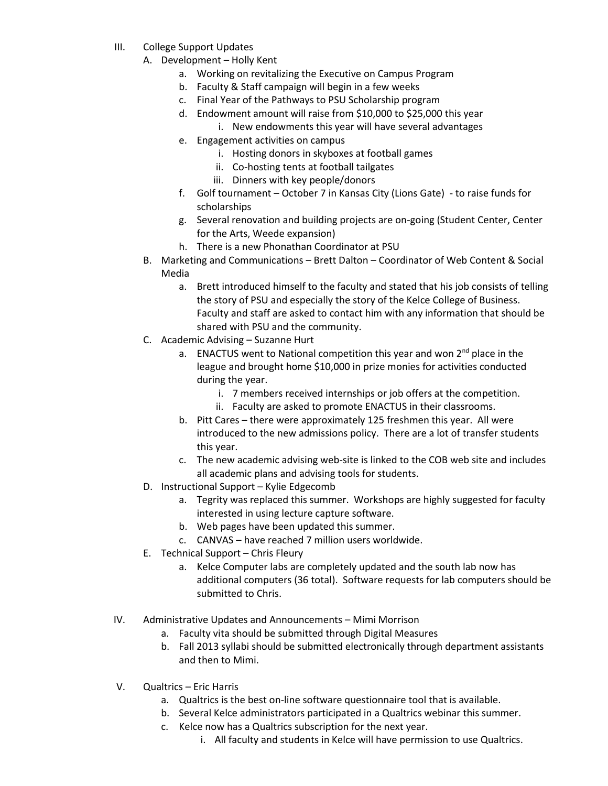- III. College Support Updates
	- A. Development Holly Kent
		- a. Working on revitalizing the Executive on Campus Program
		- b. Faculty & Staff campaign will begin in a few weeks
		- c. Final Year of the Pathways to PSU Scholarship program
		- d. Endowment amount will raise from \$10,000 to \$25,000 this year
			- i. New endowments this year will have several advantages
		- e. Engagement activities on campus
			- i. Hosting donors in skyboxes at football games
			- ii. Co-hosting tents at football tailgates
			- iii. Dinners with key people/donors
		- f. Golf tournament October 7 in Kansas City (Lions Gate) to raise funds for scholarships
		- g. Several renovation and building projects are on-going (Student Center, Center for the Arts, Weede expansion)
		- h. There is a new Phonathan Coordinator at PSU
	- B. Marketing and Communications Brett Dalton Coordinator of Web Content & Social Media
		- a. Brett introduced himself to the faculty and stated that his job consists of telling the story of PSU and especially the story of the Kelce College of Business. Faculty and staff are asked to contact him with any information that should be shared with PSU and the community.
	- C. Academic Advising Suzanne Hurt
		- a. ENACTUS went to National competition this year and won  $2^{nd}$  place in the league and brought home \$10,000 in prize monies for activities conducted during the year.
			- i. 7 members received internships or job offers at the competition.
			- ii. Faculty are asked to promote ENACTUS in their classrooms.
		- b. Pitt Cares there were approximately 125 freshmen this year. All were introduced to the new admissions policy. There are a lot of transfer students this year.
		- c. The new academic advising web-site is linked to the COB web site and includes all academic plans and advising tools for students.
	- D. Instructional Support Kylie Edgecomb
		- a. Tegrity was replaced this summer. Workshops are highly suggested for faculty interested in using lecture capture software.
		- b. Web pages have been updated this summer.
		- c. CANVAS have reached 7 million users worldwide.
	- E. Technical Support Chris Fleury
		- a. Kelce Computer labs are completely updated and the south lab now has additional computers (36 total). Software requests for lab computers should be submitted to Chris.
- IV. Administrative Updates and Announcements Mimi Morrison
	- a. Faculty vita should be submitted through Digital Measures
	- b. Fall 2013 syllabi should be submitted electronically through department assistants and then to Mimi.
- V. Qualtrics Eric Harris
	- a. Qualtrics is the best on-line software questionnaire tool that is available.
	- b. Several Kelce administrators participated in a Qualtrics webinar this summer.
	- c. Kelce now has a Qualtrics subscription for the next year.
		- i. All faculty and students in Kelce will have permission to use Qualtrics.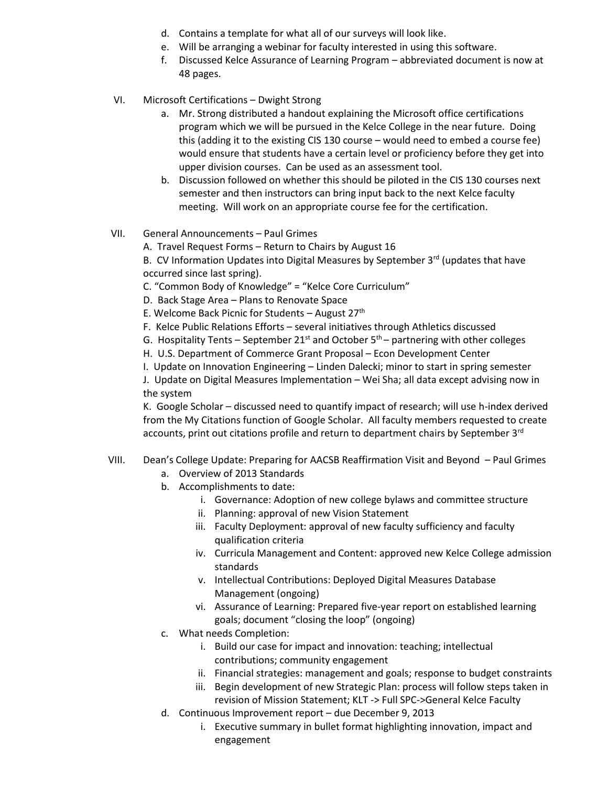- d. Contains a template for what all of our surveys will look like.
- e. Will be arranging a webinar for faculty interested in using this software.
- f. Discussed Kelce Assurance of Learning Program abbreviated document is now at 48 pages.
- VI. Microsoft Certifications Dwight Strong
	- a. Mr. Strong distributed a handout explaining the Microsoft office certifications program which we will be pursued in the Kelce College in the near future. Doing this (adding it to the existing CIS 130 course – would need to embed a course fee) would ensure that students have a certain level or proficiency before they get into upper division courses. Can be used as an assessment tool.
	- b. Discussion followed on whether this should be piloted in the CIS 130 courses next semester and then instructors can bring input back to the next Kelce faculty meeting. Will work on an appropriate course fee for the certification.

## VII. General Announcements – Paul Grimes

A. Travel Request Forms – Return to Chairs by August 16

B. CV Information Updates into Digital Measures by September  $3<sup>rd</sup>$  (updates that have occurred since last spring).

- C. "Common Body of Knowledge" = "Kelce Core Curriculum"
- D. Back Stage Area Plans to Renovate Space
- E. Welcome Back Picnic for Students August  $27<sup>th</sup>$
- F. Kelce Public Relations Efforts several initiatives through Athletics discussed
- G. Hospitality Tents September 21<sup>st</sup> and October  $5<sup>th</sup>$  partnering with other colleges
- H. U.S. Department of Commerce Grant Proposal Econ Development Center
- I. Update on Innovation Engineering Linden Dalecki; minor to start in spring semester

J. Update on Digital Measures Implementation – Wei Sha; all data except advising now in the system

K. Google Scholar – discussed need to quantify impact of research; will use h-index derived from the My Citations function of Google Scholar. All faculty members requested to create accounts, print out citations profile and return to department chairs by September 3<sup>rd</sup>

## VIII. Dean's College Update: Preparing for AACSB Reaffirmation Visit and Beyond – Paul Grimes

- a. Overview of 2013 Standards
- b. Accomplishments to date:
	- i. Governance: Adoption of new college bylaws and committee structure
	- ii. Planning: approval of new Vision Statement
	- iii. Faculty Deployment: approval of new faculty sufficiency and faculty qualification criteria
	- iv. Curricula Management and Content: approved new Kelce College admission standards
	- v. Intellectual Contributions: Deployed Digital Measures Database Management (ongoing)
	- vi. Assurance of Learning: Prepared five-year report on established learning goals; document "closing the loop" (ongoing)
- c. What needs Completion:
	- i. Build our case for impact and innovation: teaching; intellectual contributions; community engagement
	- ii. Financial strategies: management and goals; response to budget constraints
	- iii. Begin development of new Strategic Plan: process will follow steps taken in revision of Mission Statement; KLT -> Full SPC->General Kelce Faculty
- d. Continuous Improvement report due December 9, 2013
	- i. Executive summary in bullet format highlighting innovation, impact and engagement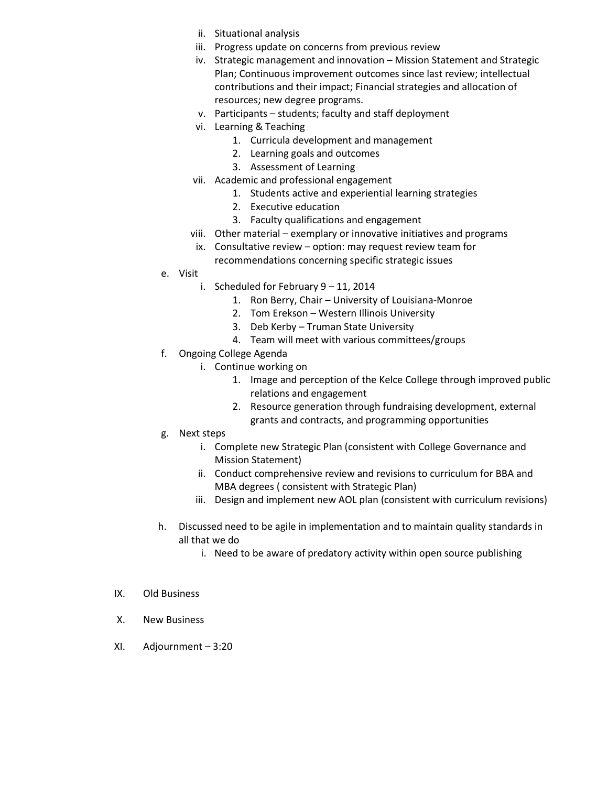- ii. Situational analysis
- iii. Progress update on concerns from previous review
- iv. Strategic management and innovation Mission Statement and Strategic Plan; Continuous improvement outcomes since last review; intellectual contributions and their impact; Financial strategies and allocation of resources; new degree programs.
- v. Participants students; faculty and staff deployment
- vi. Learning & Teaching
	- 1. Curricula development and management
	- 2. Learning goals and outcomes
	- 3. Assessment of Learning
- vii. Academic and professional engagement
	- 1. Students active and experiential learning strategies
	- 2. Executive education
	- 3. Faculty qualifications and engagement
- viii. Other material exemplary or innovative initiatives and programs
- ix. Consultative review option: may request review team for recommendations concerning specific strategic issues
- e. Visit
	- i. Scheduled for February 9 11, 2014
		- 1. Ron Berry, Chair University of Louisiana-Monroe
		- 2. Tom Erekson Western Illinois University
		- 3. Deb Kerby Truman State University
		- 4. Team will meet with various committees/groups
- f. Ongoing College Agenda
	- i. Continue working on
		- 1. Image and perception of the Kelce College through improved public relations and engagement
		- 2. Resource generation through fundraising development, external grants and contracts, and programming opportunities
- g. Next steps
	- i. Complete new Strategic Plan (consistent with College Governance and Mission Statement)
	- ii. Conduct comprehensive review and revisions to curriculum for BBA and MBA degrees ( consistent with Strategic Plan)
	- iii. Design and implement new AOL plan (consistent with curriculum revisions)
- h. Discussed need to be agile in implementation and to maintain quality standards in all that we do
	- i. Need to be aware of predatory activity within open source publishing
- IX. Old Business
- X. New Business
- XI. Adjournment 3:20